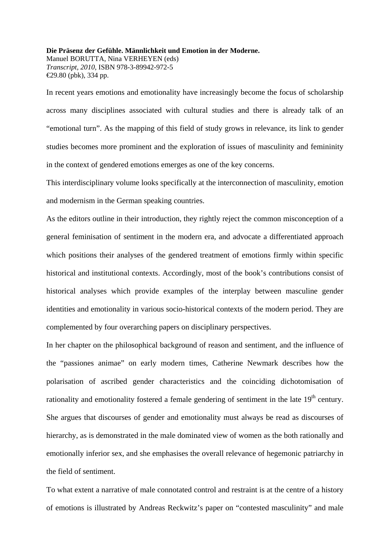## **Die Präsenz der Gefühle. Männlichkeit und Emotion in der Moderne.**

Manuel BORUTTA, Nina VERHEYEN (eds) *Transcript, 2010*, ISBN 978-3-89942-972-5 €29.80 (pbk), 334 pp.

In recent years emotions and emotionality have increasingly become the focus of scholarship across many disciplines associated with cultural studies and there is already talk of an "emotional turn". As the mapping of this field of study grows in relevance, its link to gender studies becomes more prominent and the exploration of issues of masculinity and femininity in the context of gendered emotions emerges as one of the key concerns.

This interdisciplinary volume looks specifically at the interconnection of masculinity, emotion and modernism in the German speaking countries.

As the editors outline in their introduction, they rightly reject the common misconception of a general feminisation of sentiment in the modern era, and advocate a differentiated approach which positions their analyses of the gendered treatment of emotions firmly within specific historical and institutional contexts. Accordingly, most of the book's contributions consist of historical analyses which provide examples of the interplay between masculine gender identities and emotionality in various socio-historical contexts of the modern period. They are complemented by four overarching papers on disciplinary perspectives.

In her chapter on the philosophical background of reason and sentiment, and the influence of the "passiones animae" on early modern times, Catherine Newmark describes how the polarisation of ascribed gender characteristics and the coinciding dichotomisation of rationality and emotionality fostered a female gendering of sentiment in the late 19<sup>th</sup> century. She argues that discourses of gender and emotionality must always be read as discourses of hierarchy, as is demonstrated in the male dominated view of women as the both rationally and emotionally inferior sex, and she emphasises the overall relevance of hegemonic patriarchy in the field of sentiment.

To what extent a narrative of male connotated control and restraint is at the centre of a history of emotions is illustrated by Andreas Reckwitz's paper on "contested masculinity" and male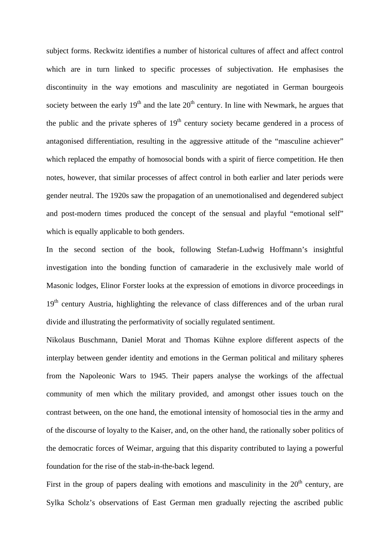subject forms. Reckwitz identifies a number of historical cultures of affect and affect control which are in turn linked to specific processes of subjectivation. He emphasises the discontinuity in the way emotions and masculinity are negotiated in German bourgeois society between the early  $19<sup>th</sup>$  and the late  $20<sup>th</sup>$  century. In line with Newmark, he argues that the public and the private spheres of  $19<sup>th</sup>$  century society became gendered in a process of antagonised differentiation, resulting in the aggressive attitude of the "masculine achiever" which replaced the empathy of homosocial bonds with a spirit of fierce competition. He then notes, however, that similar processes of affect control in both earlier and later periods were gender neutral. The 1920s saw the propagation of an unemotionalised and degendered subject and post-modern times produced the concept of the sensual and playful "emotional self" which is equally applicable to both genders.

In the second section of the book, following Stefan-Ludwig Hoffmann's insightful investigation into the bonding function of camaraderie in the exclusively male world of Masonic lodges, Elinor Forster looks at the expression of emotions in divorce proceedings in 19<sup>th</sup> century Austria, highlighting the relevance of class differences and of the urban rural divide and illustrating the performativity of socially regulated sentiment.

Nikolaus Buschmann, Daniel Morat and Thomas Kühne explore different aspects of the interplay between gender identity and emotions in the German political and military spheres from the Napoleonic Wars to 1945. Their papers analyse the workings of the affectual community of men which the military provided, and amongst other issues touch on the contrast between, on the one hand, the emotional intensity of homosocial ties in the army and of the discourse of loyalty to the Kaiser, and, on the other hand, the rationally sober politics of the democratic forces of Weimar, arguing that this disparity contributed to laying a powerful foundation for the rise of the stab-in-the-back legend.

First in the group of papers dealing with emotions and masculinity in the  $20<sup>th</sup>$  century, are Sylka Scholz's observations of East German men gradually rejecting the ascribed public